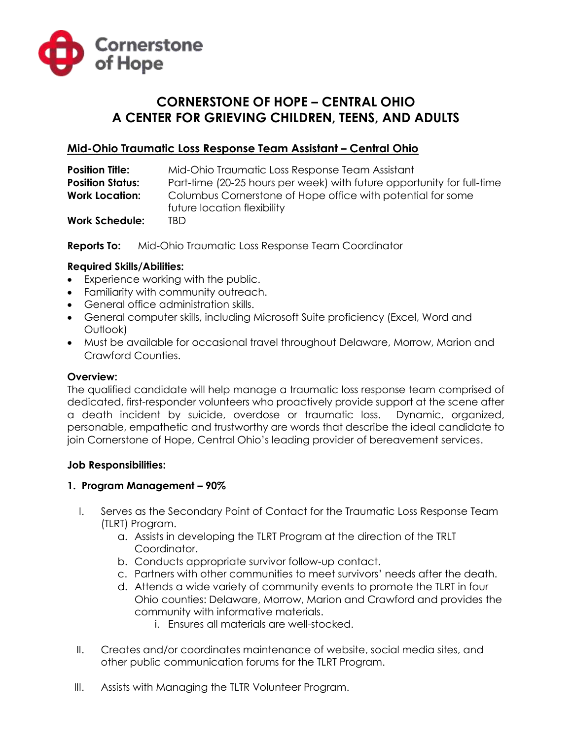

# **CORNERSTONE OF HOPE – CENTRAL OHIO A CENTER FOR GRIEVING CHILDREN, TEENS, AND ADULTS**

## **Mid-Ohio Traumatic Loss Response Team Assistant – Central Ohio**

| <b>Position Title:</b>  | Mid-Ohio Traumatic Loss Response Team Assistant                        |
|-------------------------|------------------------------------------------------------------------|
| <b>Position Status:</b> | Part-time (20-25 hours per week) with future opportunity for full-time |
| <b>Work Location:</b>   | Columbus Cornerstone of Hope office with potential for some            |
|                         | future location flexibility                                            |
| <b>Work Schedule:</b>   | TRD                                                                    |

**Reports To:** Mid-Ohio Traumatic Loss Response Team Coordinator

#### **Required Skills/Abilities:**

- Experience working with the public.
- Familiarity with community outreach.
- General office administration skills.
- General computer skills, including Microsoft Suite proficiency (Excel, Word and Outlook)
- Must be available for occasional travel throughout Delaware, Morrow, Marion and Crawford Counties.

## **Overview:**

The qualified candidate will help manage a traumatic loss response team comprised of dedicated, first-responder volunteers who proactively provide support at the scene after a death incident by suicide, overdose or traumatic loss. Dynamic, organized, personable, empathetic and trustworthy are words that describe the ideal candidate to join Cornerstone of Hope, Central Ohio's leading provider of bereavement services.

#### **Job Responsibilities:**

#### **1. Program Management – 90%**

- I. Serves as the Secondary Point of Contact for the Traumatic Loss Response Team (TLRT) Program.
	- a. Assists in developing the TLRT Program at the direction of the TRLT Coordinator.
	- b. Conducts appropriate survivor follow-up contact.
	- c. Partners with other communities to meet survivors' needs after the death.
	- d. Attends a wide variety of community events to promote the TLRT in four Ohio counties: Delaware, Morrow, Marion and Crawford and provides the community with informative materials.
		- i. Ensures all materials are well-stocked.
- II. Creates and/or coordinates maintenance of website, social media sites, and other public communication forums for the TLRT Program.
- III. Assists with Managing the TLTR Volunteer Program.